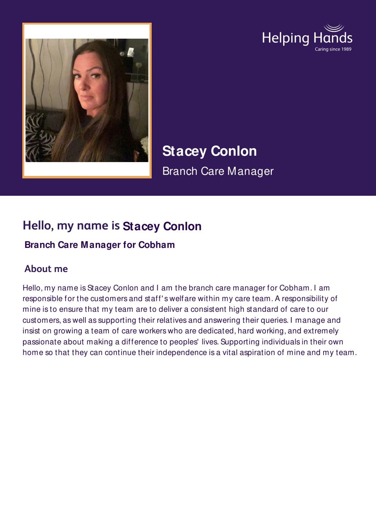



**Stacey Conlon** Branch Care Manager

# **Hello, my name is Stacey Conlon**

### **Branch Care Manager for Cobham**

## **About me**

Hello, my name is Stacey Conlon and I am the branch care manager for Cobham. I am responsible for the customers and staff' s welfare within my care team. A responsibility of mine is to ensure that my team are to deliver a consistent high standard of care to our customers, as well as supporting their relatives and answering their queries. I manage and insist on growing a team of care workers who are dedicated, hard working, and extremely passionate about making a difference to peoples' lives. Supporting individuals in their own home so that they can continue their independence is a vital aspiration of mine and my team.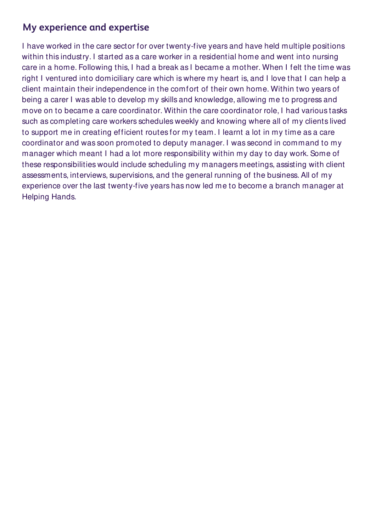### **My experience and expertise**

I have worked in the care sector for over twenty-five years and have held multiple positions within this industry. I started as a care worker in a residential home and went into nursing care in a home. Following this, I had a break as I became a mother. When I felt the time was right I ventured into domiciliary care which is where my heart is, and I love that I can help a client maintain their independence in the comfort of their own home. Within two years of being a carer I was able to develop my skills and knowledge, allowing me to progress and move on to became a care coordinator. Within the care coordinator role, I had various tasks such as completing care workers schedules weekly and knowing where all of my clients lived to support me in creating efficient routes for my team. I learnt a lot in my time as a care coordinator and was soon promoted to deputy manager. I was second in command to my manager which meant I had a lot more responsibility within my day to day work. Some of these responsibilities would include scheduling my managers meetings, assisting with client assessments, interviews, supervisions, and the general running of the business. All of my experience over the last twenty-five years has now led me to become a branch manager at Helping Hands.